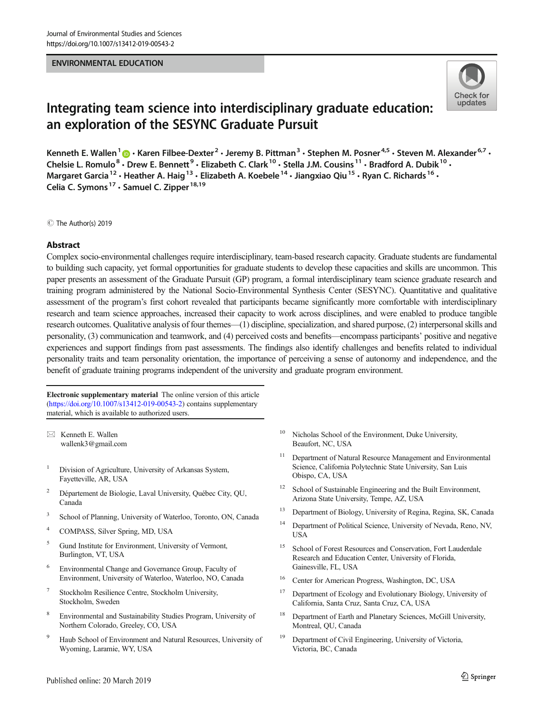#### ENVIRONMENTAL EDUCATION



# Integrating team science into interdisciplinary graduate education: an exploration of the SESYNC Graduate Pursuit

Kenneth E. Wallen<sup>1</sup>  $\cdot$  Karen Filbee-Dexter<sup>2</sup>  $\cdot$  Jeremy B. Pittman<sup>3</sup>  $\cdot$  Stephen M. Posner<sup>4,5</sup>  $\cdot$  Steven M. Alexander<sup>6,7</sup>  $\cdot$ Chelsie L. Romulo<sup>8</sup> • Drew E. Bennett<sup>9</sup> • Elizabeth C. Clark<sup>10</sup> • Stella J.M. Cousins<sup>11</sup> • Bradford A. Dubik<sup>10</sup> • Margaret Garcia<sup>12</sup> · Heather A. Haig<sup>13</sup> · Elizabeth A. Koebele<sup>14</sup> · Jiangxiao Qiu<sup>15</sup> · Ryan C. Richards<sup>16</sup> · Celia C. Symons<sup>17</sup> · Samuel C. Zipper<sup>18,19</sup>

C The Author(s) 2019

#### Abstract

Complex socio-environmental challenges require interdisciplinary, team-based research capacity. Graduate students are fundamental to building such capacity, yet formal opportunities for graduate students to develop these capacities and skills are uncommon. This paper presents an assessment of the Graduate Pursuit (GP) program, a formal interdisciplinary team science graduate research and training program administered by the National Socio-Environmental Synthesis Center (SESYNC). Quantitative and qualitative assessment of the program's first cohort revealed that participants became significantly more comfortable with interdisciplinary research and team science approaches, increased their capacity to work across disciplines, and were enabled to produce tangible research outcomes. Qualitative analysis of four themes—(1) discipline, specialization, and shared purpose, (2) interpersonal skills and personality, (3) communication and teamwork, and (4) perceived costs and benefits—encompass participants' positive and negative experiences and support findings from past assessments. The findings also identify challenges and benefits related to individual personality traits and team personality orientation, the importance of perceiving a sense of autonomy and independence, and the benefit of graduate training programs independent of the university and graduate program environment.

Electronic supplementary material The online version of this article ([https://doi.org/10.1007/s13412-019-00543-2\)](https://doi.org/10.1007/s13412-019-00543-2) contains supplementary material, which is available to authorized users.

 $\boxtimes$  Kenneth E. Wallen [wallenk3@gmail.com](mailto:wallenk3@gmail.com)

- <sup>1</sup> Division of Agriculture, University of Arkansas System, Fayetteville, AR, USA
- <sup>2</sup> Département de Biologie, Laval University, Québec City, QU, Canada
- <sup>3</sup> School of Planning, University of Waterloo, Toronto, ON, Canada
- <sup>4</sup> COMPASS, Silver Spring, MD, USA
- <sup>5</sup> Gund Institute for Environment, University of Vermont, Burlington, VT, USA
- <sup>6</sup> Environmental Change and Governance Group, Faculty of Environment, University of Waterloo, Waterloo, NO, Canada
- Stockholm Resilience Centre, Stockholm University, Stockholm, Sweden
- <sup>8</sup> Environmental and Sustainability Studies Program, University of Northern Colorado, Greeley, CO, USA
- <sup>9</sup> Haub School of Environment and Natural Resources, University of Wyoming, Laramie, WY, USA
- Nicholas School of the Environment, Duke University, Beaufort, NC, USA
- <sup>11</sup> Department of Natural Resource Management and Environmental Science, California Polytechnic State University, San Luis Obispo, CA, USA
- <sup>12</sup> School of Sustainable Engineering and the Built Environment, Arizona State University, Tempe, AZ, USA
- <sup>13</sup> Department of Biology, University of Regina, Regina, SK, Canada
- <sup>14</sup> Department of Political Science, University of Nevada, Reno, NV, USA
- <sup>15</sup> School of Forest Resources and Conservation, Fort Lauderdale Research and Education Center, University of Florida, Gainesville, FL, USA
- <sup>16</sup> Center for American Progress, Washington, DC, USA
- <sup>17</sup> Department of Ecology and Evolutionary Biology, University of California, Santa Cruz, Santa Cruz, CA, USA
- <sup>18</sup> Department of Earth and Planetary Sciences, McGill University, Montreal, QU, Canada
- <sup>19</sup> Department of Civil Engineering, University of Victoria, Victoria, BC, Canada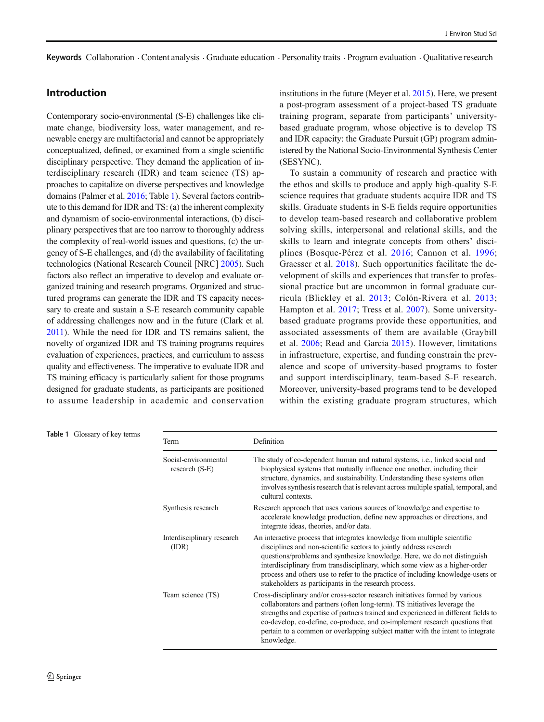Keywords Collaboration  $\cdot$  Content analysis  $\cdot$  Graduate education  $\cdot$  Personality traits  $\cdot$  Program evaluation  $\cdot$  Qualitative research

## Introduction

Contemporary socio-environmental (S-E) challenges like climate change, biodiversity loss, water management, and renewable energy are multifactorial and cannot be appropriately conceptualized, defined, or examined from a single scientific disciplinary perspective. They demand the application of interdisciplinary research (IDR) and team science (TS) approaches to capitalize on diverse perspectives and knowledge domains (Palmer et al. [2016;](#page-14-0) Table 1). Several factors contribute to this demand for IDR and TS: (a) the inherent complexity and dynamism of socio-environmental interactions, (b) disciplinary perspectives that are too narrow to thoroughly address the complexity of real-world issues and questions, (c) the urgency of S-E challenges, and (d) the availability of facilitating technologies (National Research Council [NRC] [2005](#page-14-0)). Such factors also reflect an imperative to develop and evaluate organized training and research programs. Organized and structured programs can generate the IDR and TS capacity necessary to create and sustain a S-E research community capable of addressing challenges now and in the future (Clark et al. [2011](#page-13-0)). While the need for IDR and TS remains salient, the novelty of organized IDR and TS training programs requires evaluation of experiences, practices, and curriculum to assess quality and effectiveness. The imperative to evaluate IDR and TS training efficacy is particularly salient for those programs designed for graduate students, as participants are positioned to assume leadership in academic and conservation institutions in the future (Meyer et al. [2015](#page-14-0)). Here, we present a post-program assessment of a project-based TS graduate training program, separate from participants' universitybased graduate program, whose objective is to develop TS and IDR capacity: the Graduate Pursuit (GP) program administered by the National Socio-Environmental Synthesis Center (SESYNC).

To sustain a community of research and practice with the ethos and skills to produce and apply high-quality S-E science requires that graduate students acquire IDR and TS skills. Graduate students in S-E fields require opportunities to develop team-based research and collaborative problem solving skills, interpersonal and relational skills, and the skills to learn and integrate concepts from others' disciplines (Bosque-Pérez et al. [2016;](#page-13-0) Cannon et al. [1996;](#page-13-0) Graesser et al. [2018](#page-14-0)). Such opportunities facilitate the development of skills and experiences that transfer to professional practice but are uncommon in formal graduate curricula (Blickley et al. [2013](#page-13-0); Colón-Rivera et al. [2013;](#page-13-0) Hampton et al. [2017;](#page-14-0) Tress et al. [2007](#page-15-0)). Some universitybased graduate programs provide these opportunities, and associated assessments of them are available (Graybill et al. [2006](#page-14-0); Read and Garcia [2015](#page-14-0)). However, limitations in infrastructure, expertise, and funding constrain the prevalence and scope of university-based programs to foster and support interdisciplinary, team-based S-E research. Moreover, university-based programs tend to be developed within the existing graduate program structures, which

| Term                                   | Definition                                                                                                                                                                                                                                                                                                                                                                                                                                             |  |  |  |
|----------------------------------------|--------------------------------------------------------------------------------------------------------------------------------------------------------------------------------------------------------------------------------------------------------------------------------------------------------------------------------------------------------------------------------------------------------------------------------------------------------|--|--|--|
| Social-environmental<br>research (S-E) | The study of co-dependent human and natural systems, <i>i.e.</i> , linked social and<br>biophysical systems that mutually influence one another, including their<br>structure, dynamics, and sustainability. Understanding these systems often<br>involves synthesis research that is relevant across multiple spatial, temporal, and<br>cultural contexts.                                                                                            |  |  |  |
| Synthesis research                     | Research approach that uses various sources of knowledge and expertise to<br>accelerate knowledge production, define new approaches or directions, and<br>integrate ideas, theories, and/or data.                                                                                                                                                                                                                                                      |  |  |  |
| Interdisciplinary research<br>(IDR)    | An interactive process that integrates knowledge from multiple scientific<br>disciplines and non-scientific sectors to jointly address research<br>questions/problems and synthesize knowledge. Here, we do not distinguish<br>interdisciplinary from transdisciplinary, which some view as a higher-order<br>process and others use to refer to the practice of including knowledge-users or<br>stakeholders as participants in the research process. |  |  |  |
| Team science (TS)                      | Cross-disciplinary and/or cross-sector research initiatives formed by various<br>collaborators and partners (often long-term). TS initiatives leverage the<br>strengths and expertise of partners trained and experienced in different fields to<br>co-develop, co-define, co-produce, and co-implement research questions that<br>pertain to a common or overlapping subject matter with the intent to integrate<br>knowledge.                        |  |  |  |

Table 1 Glossary of key terms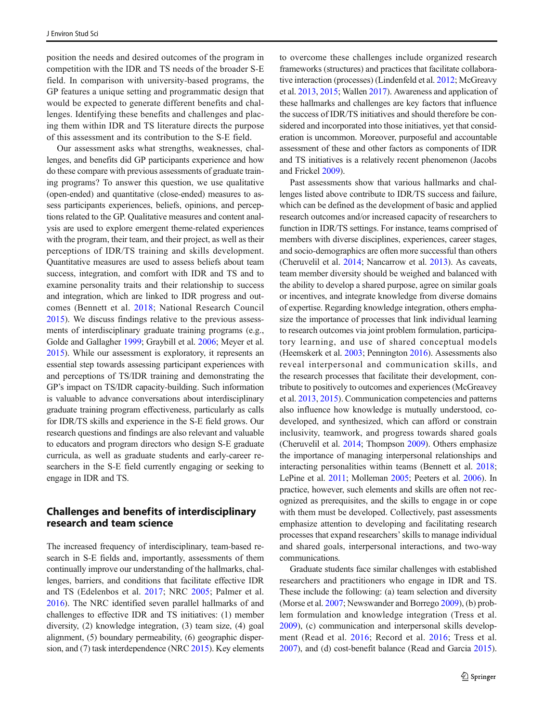position the needs and desired outcomes of the program in competition with the IDR and TS needs of the broader S-E field. In comparison with university-based programs, the GP features a unique setting and programmatic design that would be expected to generate different benefits and challenges. Identifying these benefits and challenges and placing them within IDR and TS literature directs the purpose of this assessment and its contribution to the S-E field.

Our assessment asks what strengths, weaknesses, challenges, and benefits did GP participants experience and how do these compare with previous assessments of graduate training programs? To answer this question, we use qualitative (open-ended) and quantitative (close-ended) measures to assess participants experiences, beliefs, opinions, and perceptions related to the GP. Qualitative measures and content analysis are used to explore emergent theme-related experiences with the program, their team, and their project, as well as their perceptions of IDR/TS training and skills development. Quantitative measures are used to assess beliefs about team success, integration, and comfort with IDR and TS and to examine personality traits and their relationship to success and integration, which are linked to IDR progress and outcomes (Bennett et al. [2018;](#page-13-0) National Research Council [2015\)](#page-14-0). We discuss findings relative to the previous assessments of interdisciplinary graduate training programs (e.g., Golde and Gallagher [1999;](#page-13-0) Graybill et al. [2006;](#page-14-0) Meyer et al. [2015\)](#page-14-0). While our assessment is exploratory, it represents an essential step towards assessing participant experiences with and perceptions of TS/IDR training and demonstrating the GP's impact on TS/IDR capacity-building. Such information is valuable to advance conversations about interdisciplinary graduate training program effectiveness, particularly as calls for IDR/TS skills and experience in the S-E field grows. Our research questions and findings are also relevant and valuable to educators and program directors who design S-E graduate curricula, as well as graduate students and early-career researchers in the S-E field currently engaging or seeking to engage in IDR and TS.

# Challenges and benefits of interdisciplinary research and team science

The increased frequency of interdisciplinary, team-based research in S-E fields and, importantly, assessments of them continually improve our understanding of the hallmarks, challenges, barriers, and conditions that facilitate effective IDR and TS (Edelenbos et al. [2017;](#page-13-0) NRC [2005;](#page-14-0) Palmer et al. [2016\)](#page-14-0). The NRC identified seven parallel hallmarks of and challenges to effective IDR and TS initiatives: (1) member diversity, (2) knowledge integration, (3) team size, (4) goal alignment, (5) boundary permeability, (6) geographic dispersion, and (7) task interdependence (NRC [2015\)](#page-14-0). Key elements to overcome these challenges include organized research frameworks (structures) and practices that facilitate collaborative interaction (processes) (Lindenfeld et al. [2012;](#page-14-0) McGreavy et al. [2013](#page-14-0), [2015](#page-14-0); Wallen [2017\)](#page-15-0). Awareness and application of these hallmarks and challenges are key factors that influence the success of IDR/TS initiatives and should therefore be considered and incorporated into those initiatives, yet that consideration is uncommon. Moreover, purposeful and accountable assessment of these and other factors as components of IDR and TS initiatives is a relatively recent phenomenon (Jacobs and Frickel [2009](#page-14-0)).

Past assessments show that various hallmarks and challenges listed above contribute to IDR/TS success and failure, which can be defined as the development of basic and applied research outcomes and/or increased capacity of researchers to function in IDR/TS settings. For instance, teams comprised of members with diverse disciplines, experiences, career stages, and socio-demographics are often more successful than others (Cheruvelil et al. [2014;](#page-13-0) Nancarrow et al. [2013](#page-14-0)). As caveats, team member diversity should be weighed and balanced with the ability to develop a shared purpose, agree on similar goals or incentives, and integrate knowledge from diverse domains of expertise. Regarding knowledge integration, others emphasize the importance of processes that link individual learning to research outcomes via joint problem formulation, participatory learning, and use of shared conceptual models (Heemskerk et al. [2003;](#page-14-0) Pennington [2016\)](#page-14-0). Assessments also reveal interpersonal and communication skills, and the research processes that facilitate their development, contribute to positively to outcomes and experiences (McGreavey et al. [2013](#page-14-0), [2015](#page-14-0)). Communication competencies and patterns also influence how knowledge is mutually understood, codeveloped, and synthesized, which can afford or constrain inclusivity, teamwork, and progress towards shared goals (Cheruvelil et al. [2014](#page-13-0); Thompson [2009\)](#page-15-0). Others emphasize the importance of managing interpersonal relationships and interacting personalities within teams (Bennett et al. [2018;](#page-13-0) LePine et al. [2011;](#page-14-0) Molleman [2005;](#page-14-0) Peeters et al. [2006](#page-14-0)). In practice, however, such elements and skills are often not recognized as prerequisites, and the skills to engage in or cope with them must be developed. Collectively, past assessments emphasize attention to developing and facilitating research processes that expand researchers'skills to manage individual and shared goals, interpersonal interactions, and two-way communications.

Graduate students face similar challenges with established researchers and practitioners who engage in IDR and TS. These include the following: (a) team selection and diversity (Morse et al. [2007;](#page-14-0) Newswander and Borrego [2009\)](#page-14-0), (b) problem formulation and knowledge integration (Tress et al. [2009\)](#page-15-0), (c) communication and interpersonal skills development (Read et al. [2016;](#page-14-0) Record et al. [2016;](#page-14-0) Tress et al. [2007\)](#page-15-0), and (d) cost-benefit balance (Read and Garcia [2015\)](#page-14-0).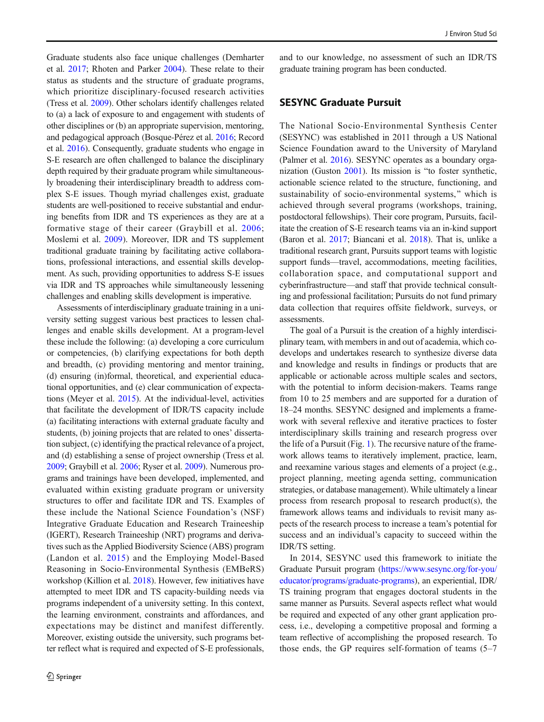Graduate students also face unique challenges (Demharter et al. [2017](#page-13-0); Rhoten and Parker [2004](#page-14-0)). These relate to their status as students and the structure of graduate programs, which prioritize disciplinary-focused research activities (Tress et al. [2009](#page-15-0)). Other scholars identify challenges related to (a) a lack of exposure to and engagement with students of other disciplines or (b) an appropriate supervision, mentoring, and pedagogical approach (Bosque-Pérez et al. [2016;](#page-13-0) Record et al. [2016\)](#page-14-0). Consequently, graduate students who engage in S-E research are often challenged to balance the disciplinary depth required by their graduate program while simultaneously broadening their interdisciplinary breadth to address complex S-E issues. Though myriad challenges exist, graduate students are well-positioned to receive substantial and enduring benefits from IDR and TS experiences as they are at a formative stage of their career (Graybill et al. [2006](#page-14-0); Moslemi et al. [2009](#page-14-0)). Moreover, IDR and TS supplement traditional graduate training by facilitating active collaborations, professional interactions, and essential skills development. As such, providing opportunities to address S-E issues via IDR and TS approaches while simultaneously lessening challenges and enabling skills development is imperative.

Assessments of interdisciplinary graduate training in a university setting suggest various best practices to lessen challenges and enable skills development. At a program-level these include the following: (a) developing a core curriculum or competencies, (b) clarifying expectations for both depth and breadth, (c) providing mentoring and mentor training, (d) ensuring (in)formal, theoretical, and experiential educational opportunities, and (e) clear communication of expectations (Meyer et al. [2015\)](#page-14-0). At the individual-level, activities that facilitate the development of IDR/TS capacity include (a) facilitating interactions with external graduate faculty and students, (b) joining projects that are related to ones' dissertation subject, (c) identifying the practical relevance of a project, and (d) establishing a sense of project ownership (Tress et al. [2009;](#page-15-0) Graybill et al. [2006](#page-14-0); Ryser et al. [2009\)](#page-14-0). Numerous programs and trainings have been developed, implemented, and evaluated within existing graduate program or university structures to offer and facilitate IDR and TS. Examples of these include the National Science Foundation's (NSF) Integrative Graduate Education and Research Traineeship (IGERT), Research Traineeship (NRT) programs and derivatives such as the Applied Biodiversity Science (ABS) program (Landon et al. [2015](#page-14-0)) and the Employing Model-Based Reasoning in Socio-Environmental Synthesis (EMBeRS) workshop (Killion et al. [2018](#page-14-0)). However, few initiatives have attempted to meet IDR and TS capacity-building needs via programs independent of a university setting. In this context, the learning environment, constraints and affordances, and expectations may be distinct and manifest differently. Moreover, existing outside the university, such programs better reflect what is required and expected of S-E professionals,

and to our knowledge, no assessment of such an IDR/TS graduate training program has been conducted.

#### SESYNC Graduate Pursuit

The National Socio-Environmental Synthesis Center (SESYNC) was established in 2011 through a US National Science Foundation award to the University of Maryland (Palmer et al. [2016](#page-14-0)). SESYNC operates as a boundary organization (Guston  $2001$ ). Its mission is "to foster synthetic, actionable science related to the structure, functioning, and sustainability of socio-environmental systems," which is achieved through several programs (workshops, training, postdoctoral fellowships). Their core program, Pursuits, facilitate the creation of S-E research teams via an in-kind support (Baron et al. [2017](#page-13-0); Biancani et al. [2018](#page-13-0)). That is, unlike a traditional research grant, Pursuits support teams with logistic support funds—travel, accommodations, meeting facilities, collaboration space, and computational support and cyberinfrastructure—and staff that provide technical consulting and professional facilitation; Pursuits do not fund primary data collection that requires offsite fieldwork, surveys, or assessments.

The goal of a Pursuit is the creation of a highly interdisciplinary team, with members in and out of academia, which codevelops and undertakes research to synthesize diverse data and knowledge and results in findings or products that are applicable or actionable across multiple scales and sectors, with the potential to inform decision-makers. Teams range from 10 to 25 members and are supported for a duration of 18–24 months. SESYNC designed and implements a framework with several reflexive and iterative practices to foster interdisciplinary skills training and research progress over the life of a Pursuit (Fig. [1](#page-4-0)). The recursive nature of the framework allows teams to iteratively implement, practice, learn, and reexamine various stages and elements of a project (e.g., project planning, meeting agenda setting, communication strategies, or database management). While ultimately a linear process from research proposal to research product(s), the framework allows teams and individuals to revisit many aspects of the research process to increase a team's potential for success and an individual's capacity to succeed within the IDR/TS setting.

In 2014, SESYNC used this framework to initiate the Graduate Pursuit program ([https://www.sesync.org/for-you/](https://www.sesync.org/for-you/educator/programs/graduate-programs) [educator/programs/graduate-programs\)](https://www.sesync.org/for-you/educator/programs/graduate-programs), an experiential, IDR/ TS training program that engages doctoral students in the same manner as Pursuits. Several aspects reflect what would be required and expected of any other grant application process, i.e., developing a competitive proposal and forming a team reflective of accomplishing the proposed research. To those ends, the GP requires self-formation of teams (5–7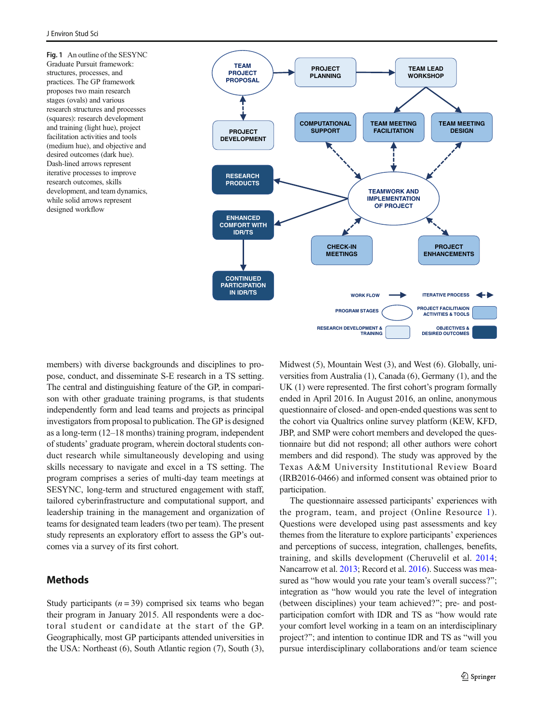<span id="page-4-0"></span>Fig. 1 An outline of the SESYNC Graduate Pursuit framework: structures, processes, and practices. The GP framework proposes two main research stages (ovals) and various research structures and processes (squares): research development and training (light hue), project facilitation activities and tools (medium hue), and objective and desired outcomes (dark hue). Dash-lined arrows represent iterative processes to improve research outcomes, skills development, and team dynamics, while solid arrows represent designed workflow



members) with diverse backgrounds and disciplines to propose, conduct, and disseminate S-E research in a TS setting. The central and distinguishing feature of the GP, in comparison with other graduate training programs, is that students independently form and lead teams and projects as principal investigators from proposal to publication. The GP is designed as a long-term (12–18 months) training program, independent of students' graduate program, wherein doctoral students conduct research while simultaneously developing and using skills necessary to navigate and excel in a TS setting. The program comprises a series of multi-day team meetings at SESYNC, long-term and structured engagement with staff, tailored cyberinfrastructure and computational support, and leadership training in the management and organization of teams for designated team leaders (two per team). The present study represents an exploratory effort to assess the GP's outcomes via a survey of its first cohort.

## Methods

Study participants  $(n = 39)$  comprised six teams who began their program in January 2015. All respondents were a doctoral student or candidate at the start of the GP. Geographically, most GP participants attended universities in the USA: Northeast (6), South Atlantic region (7), South (3), Midwest (5), Mountain West (3), and West (6). Globally, universities from Australia (1), Canada (6), Germany (1), and the UK (1) were represented. The first cohort's program formally ended in April 2016. In August 2016, an online, anonymous questionnaire of closed- and open-ended questions was sent to the cohort via Qualtrics online survey platform (KEW, KFD, JBP, and SMP were cohort members and developed the questionnaire but did not respond; all other authors were cohort members and did respond). The study was approved by the Texas A&M University Institutional Review Board (IRB2016-0466) and informed consent was obtained prior to participation.

The questionnaire assessed participants' experiences with the program, team, and project (Online Resource 1). Questions were developed using past assessments and key themes from the literature to explore participants' experiences and perceptions of success, integration, challenges, benefits, training, and skills development (Cheruvelil et al. [2014;](#page-13-0) Nancarrow et al. [2013;](#page-14-0) Record et al. [2016\)](#page-14-0). Success was measured as "how would you rate your team's overall success?"; integration as "how would you rate the level of integration (between disciplines) your team achieved?"; pre- and postparticipation comfort with IDR and TS as "how would rate your comfort level working in a team on an interdisciplinary project?"; and intention to continue IDR and TS as "will you pursue interdisciplinary collaborations and/or team science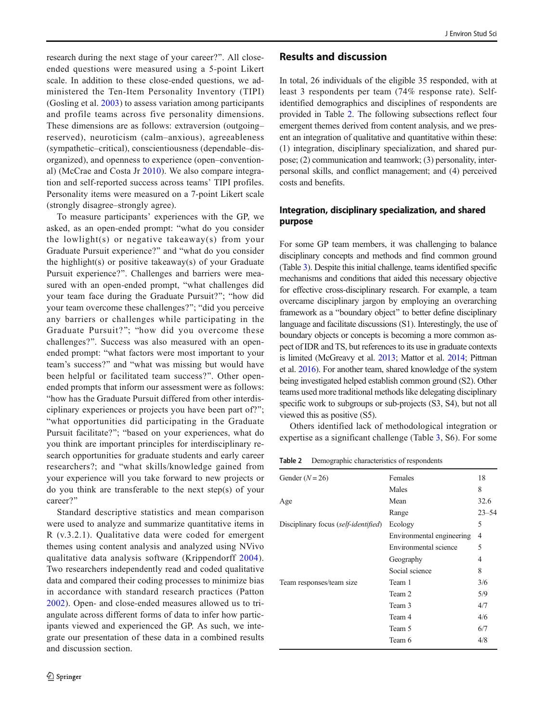research during the next stage of your career?". All closeended questions were measured using a 5-point Likert scale. In addition to these close-ended questions, we administered the Ten-Item Personality Inventory (TIPI) (Gosling et al. [2003\)](#page-14-0) to assess variation among participants and profile teams across five personality dimensions. These dimensions are as follows: extraversion (outgoing– reserved), neuroticism (calm–anxious), agreeableness (sympathetic–critical), conscientiousness (dependable–disorganized), and openness to experience (open–conventional) (McCrae and Costa Jr [2010\)](#page-14-0). We also compare integration and self-reported success across teams' TIPI profiles. Personality items were measured on a 7-point Likert scale (strongly disagree–strongly agree).

To measure participants' experiences with the GP, we asked, as an open-ended prompt: "what do you consider the lowlight(s) or negative takeaway(s) from your Graduate Pursuit experience?" and "what do you consider the highlight(s) or positive takeaway(s) of your Graduate Pursuit experience?". Challenges and barriers were measured with an open-ended prompt, "what challenges did your team face during the Graduate Pursuit?"; "how did your team overcome these challenges?"; "did you perceive any barriers or challenges while participating in the Graduate Pursuit?"; "how did you overcome these challenges?". Success was also measured with an openended prompt: "what factors were most important to your team's success?" and "what was missing but would have been helpful or facilitated team success?". Other openended prompts that inform our assessment were as follows: "how has the Graduate Pursuit differed from other interdisciplinary experiences or projects you have been part of?"; "what opportunities did participating in the Graduate Pursuit facilitate?"; "based on your experiences, what do you think are important principles for interdisciplinary research opportunities for graduate students and early career researchers?; and "what skills/knowledge gained from your experience will you take forward to new projects or do you think are transferable to the next step(s) of your career?"

Standard descriptive statistics and mean comparison were used to analyze and summarize quantitative items in R (v.3.2.1). Qualitative data were coded for emergent themes using content analysis and analyzed using NVivo qualitative data analysis software (Krippendorff [2004](#page-14-0)). Two researchers independently read and coded qualitative data and compared their coding processes to minimize bias in accordance with standard research practices (Patton [2002](#page-14-0)). Open- and close-ended measures allowed us to triangulate across different forms of data to infer how participants viewed and experienced the GP. As such, we integrate our presentation of these data in a combined results and discussion section.

## Results and discussion

In total, 26 individuals of the eligible 35 responded, with at least 3 respondents per team (74% response rate). Selfidentified demographics and disciplines of respondents are provided in Table 2. The following subsections reflect four emergent themes derived from content analysis, and we present an integration of qualitative and quantitative within these: (1) integration, disciplinary specialization, and shared purpose; (2) communication and teamwork; (3) personality, interpersonal skills, and conflict management; and (4) perceived costs and benefits.

#### Integration, disciplinary specialization, and shared purpose

For some GP team members, it was challenging to balance disciplinary concepts and methods and find common ground (Table [3\)](#page-6-0). Despite this initial challenge, teams identified specific mechanisms and conditions that aided this necessary objective for effective cross-disciplinary research. For example, a team overcame disciplinary jargon by employing an overarching framework as a "boundary object" to better define disciplinary language and facilitate discussions (S1). Interestingly, the use of boundary objects or concepts is becoming a more common aspect of IDR and TS, but references to its use in graduate contexts is limited (McGreavy et al. [2013](#page-14-0); Mattor et al. [2014](#page-14-0); Pittman et al. [2016\)](#page-14-0). For another team, shared knowledge of the system being investigated helped establish common ground (S2). Other teams used more traditional methods like delegating disciplinary specific work to subgroups or sub-projects (S3, S4), but not all viewed this as positive (S5).

Others identified lack of methodological integration or expertise as a significant challenge (Table [3](#page-6-0), S6). For some

Table 2 Demographic characteristics of respondents

| Gender $(N=26)$                      | Females                   | 18        |
|--------------------------------------|---------------------------|-----------|
|                                      | Males                     | 8         |
| Age                                  | Mean                      | 32.6      |
|                                      | Range                     | $23 - 54$ |
| Disciplinary focus (self-identified) | Ecology                   | 5         |
|                                      | Environmental engineering | 4         |
|                                      | Environmental science     | 5         |
|                                      | Geography                 | 4         |
|                                      | Social science            | 8         |
| Team responses/team size             | Team 1                    | 3/6       |
|                                      | Team 2                    | 5/9       |
|                                      | Team 3                    | 4/7       |
|                                      | Team 4                    | 4/6       |
|                                      | Team 5                    | 6/7       |
|                                      | Team 6                    | 4/8       |
|                                      |                           |           |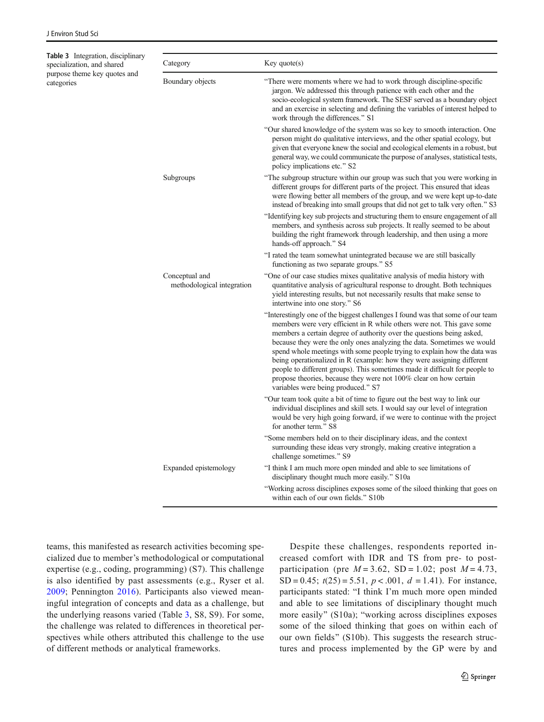<span id="page-6-0"></span>Table 3 Integration, disciplinary specialization, and shared purpose theme key quotes and categories

| Category                                     | $Key$ quote $(s)$                                                                                                                                                                                                                                                                                                                                                                                                                                                                                                                                                                                                                                           |  |  |  |
|----------------------------------------------|-------------------------------------------------------------------------------------------------------------------------------------------------------------------------------------------------------------------------------------------------------------------------------------------------------------------------------------------------------------------------------------------------------------------------------------------------------------------------------------------------------------------------------------------------------------------------------------------------------------------------------------------------------------|--|--|--|
| Boundary objects                             | "There were moments where we had to work through discipline-specific<br>jargon. We addressed this through patience with each other and the<br>socio-ecological system framework. The SESF served as a boundary object<br>and an exercise in selecting and defining the variables of interest helped to<br>work through the differences." S1                                                                                                                                                                                                                                                                                                                 |  |  |  |
|                                              | "Our shared knowledge of the system was so key to smooth interaction. One<br>person might do qualitative interviews, and the other spatial ecology, but<br>given that everyone knew the social and ecological elements in a robust, but<br>general way, we could communicate the purpose of analyses, statistical tests,<br>policy implications etc." S2                                                                                                                                                                                                                                                                                                    |  |  |  |
| Subgroups                                    | "The subgroup structure within our group was such that you were working in<br>different groups for different parts of the project. This ensured that ideas<br>were flowing better all members of the group, and we were kept up-to-date<br>instead of breaking into small groups that did not get to talk very often." S3                                                                                                                                                                                                                                                                                                                                   |  |  |  |
|                                              | "Identifying key sub projects and structuring them to ensure engagement of all<br>members, and synthesis across sub projects. It really seemed to be about<br>building the right framework through leadership, and then using a more<br>hands-off approach." S4                                                                                                                                                                                                                                                                                                                                                                                             |  |  |  |
|                                              | "I rated the team somewhat unintegrated because we are still basically<br>functioning as two separate groups." S5                                                                                                                                                                                                                                                                                                                                                                                                                                                                                                                                           |  |  |  |
| Conceptual and<br>methodological integration | "One of our case studies mixes qualitative analysis of media history with<br>quantitative analysis of agricultural response to drought. Both techniques<br>yield interesting results, but not necessarily results that make sense to<br>intertwine into one story." S6                                                                                                                                                                                                                                                                                                                                                                                      |  |  |  |
|                                              | "Interestingly one of the biggest challenges I found was that some of our team<br>members were very efficient in R while others were not. This gave some<br>members a certain degree of authority over the questions being asked,<br>because they were the only ones analyzing the data. Sometimes we would<br>spend whole meetings with some people trying to explain how the data was<br>being operationalized in R (example: how they were assigning different<br>people to different groups). This sometimes made it difficult for people to<br>propose theories, because they were not 100% clear on how certain<br>variables were being produced." S7 |  |  |  |
|                                              | "Our team took quite a bit of time to figure out the best way to link our<br>individual disciplines and skill sets. I would say our level of integration<br>would be very high going forward, if we were to continue with the project<br>for another term." S8                                                                                                                                                                                                                                                                                                                                                                                              |  |  |  |
|                                              | "Some members held on to their disciplinary ideas, and the context<br>surrounding these ideas very strongly, making creative integration a<br>challenge sometimes." S9                                                                                                                                                                                                                                                                                                                                                                                                                                                                                      |  |  |  |
| Expanded epistemology                        | "I think I am much more open minded and able to see limitations of<br>disciplinary thought much more easily." S10a                                                                                                                                                                                                                                                                                                                                                                                                                                                                                                                                          |  |  |  |
|                                              | "Working across disciplines exposes some of the siloed thinking that goes on<br>within each of our own fields." S10b                                                                                                                                                                                                                                                                                                                                                                                                                                                                                                                                        |  |  |  |

teams, this manifested as research activities becoming specialized due to member's methodological or computational expertise (e.g., coding, programming) (S7). This challenge is also identified by past assessments (e.g., Ryser et al. [2009](#page-14-0); Pennington [2016\)](#page-14-0). Participants also viewed meaningful integration of concepts and data as a challenge, but the underlying reasons varied (Table 3, S8, S9). For some, the challenge was related to differences in theoretical perspectives while others attributed this challenge to the use of different methods or analytical frameworks.

Despite these challenges, respondents reported increased comfort with IDR and TS from pre- to postparticipation (pre  $M = 3.62$ , SD = 1.02; post  $M = 4.73$ , SD = 0.45;  $t(25) = 5.51$ ,  $p < .001$ ,  $d = 1.41$ ). For instance, participants stated: "I think I'm much more open minded and able to see limitations of disciplinary thought much more easily" (S10a); "working across disciplines exposes some of the siloed thinking that goes on within each of our own fields" (S10b). This suggests the research structures and process implemented by the GP were by and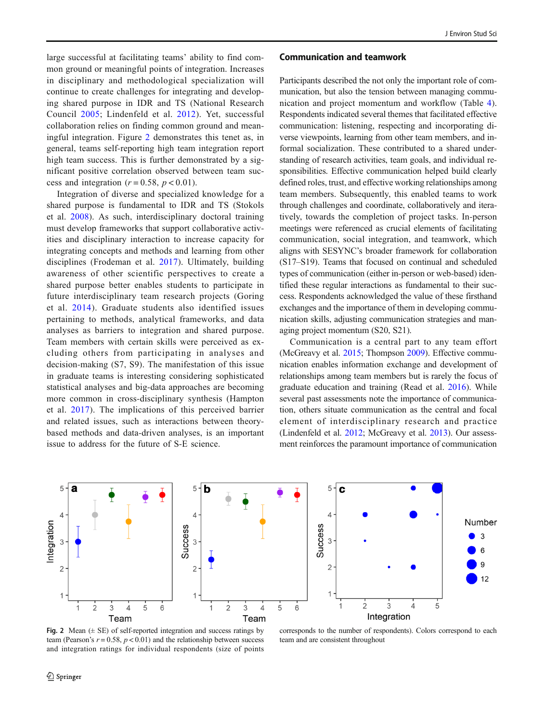<span id="page-7-0"></span>large successful at facilitating teams' ability to find common ground or meaningful points of integration. Increases in disciplinary and methodological specialization will continue to create challenges for integrating and developing shared purpose in IDR and TS (National Research Council [2005](#page-14-0); Lindenfeld et al. [2012\)](#page-14-0). Yet, successful collaboration relies on finding common ground and meaningful integration. Figure 2 demonstrates this tenet as, in general, teams self-reporting high team integration report high team success. This is further demonstrated by a significant positive correlation observed between team success and integration  $(r = 0.58, p < 0.01)$ .

Integration of diverse and specialized knowledge for a shared purpose is fundamental to IDR and TS (Stokols et al. [2008\)](#page-15-0). As such, interdisciplinary doctoral training must develop frameworks that support collaborative activities and disciplinary interaction to increase capacity for integrating concepts and methods and learning from other disciplines (Frodeman et al. [2017\)](#page-13-0). Ultimately, building awareness of other scientific perspectives to create a shared purpose better enables students to participate in future interdisciplinary team research projects (Goring et al. [2014](#page-14-0)). Graduate students also identified issues pertaining to methods, analytical frameworks, and data analyses as barriers to integration and shared purpose. Team members with certain skills were perceived as excluding others from participating in analyses and decision-making (S7, S9). The manifestation of this issue in graduate teams is interesting considering sophisticated statistical analyses and big-data approaches are becoming more common in cross-disciplinary synthesis (Hampton et al. [2017](#page-14-0)). The implications of this perceived barrier and related issues, such as interactions between theorybased methods and data-driven analyses, is an important issue to address for the future of S-E science.

#### Communication and teamwork

Participants described the not only the important role of communication, but also the tension between managing communication and project momentum and workflow (Table [4](#page-8-0)). Respondents indicated several themes that facilitated effective communication: listening, respecting and incorporating diverse viewpoints, learning from other team members, and informal socialization. These contributed to a shared understanding of research activities, team goals, and individual responsibilities. Effective communication helped build clearly defined roles, trust, and effective working relationships among team members. Subsequently, this enabled teams to work through challenges and coordinate, collaboratively and iteratively, towards the completion of project tasks. In-person meetings were referenced as crucial elements of facilitating communication, social integration, and teamwork, which aligns with SESYNC's broader framework for collaboration (S17–S19). Teams that focused on continual and scheduled types of communication (either in-person or web-based) identified these regular interactions as fundamental to their success. Respondents acknowledged the value of these firsthand exchanges and the importance of them in developing communication skills, adjusting communication strategies and managing project momentum (S20, S21).

Communication is a central part to any team effort (McGreavy et al. [2015](#page-14-0); Thompson [2009](#page-15-0)). Effective communication enables information exchange and development of relationships among team members but is rarely the focus of graduate education and training (Read et al. [2016\)](#page-14-0). While several past assessments note the importance of communication, others situate communication as the central and focal element of interdisciplinary research and practice (Lindenfeld et al. [2012](#page-14-0); McGreavy et al. [2013](#page-14-0)). Our assessment reinforces the paramount importance of communication



 $5 \mathbf b$ 



Fig. 2 Mean  $(\pm \text{ SE})$  of self-reported integration and success ratings by team (Pearson's  $r = 0.58$ ,  $p < 0.01$ ) and the relationship between success and integration ratings for individual respondents (size of points

5  $\mathbf{a}$ 

corresponds to the number of respondents). Colors correspond to each team and are consistent throughout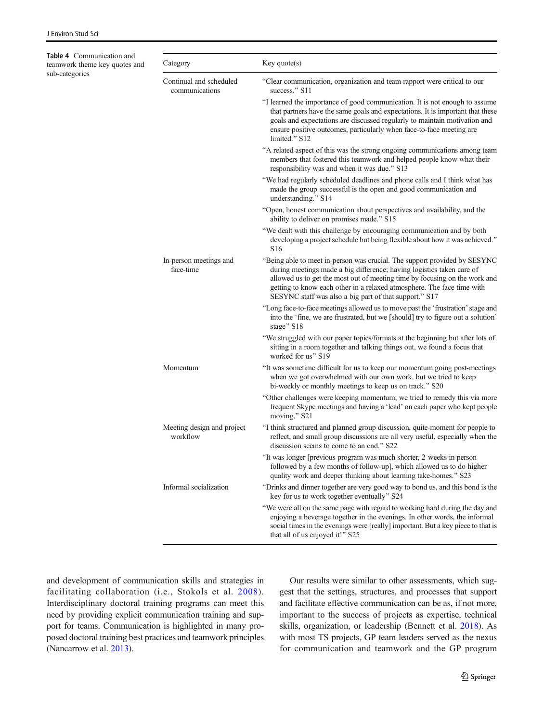<span id="page-8-0"></span>Table 4 Communication and teamwork theme key quotes and sub-categories

| Category                                  | $Key$ quote $(s)$                                                                                                                                                                                                                                                                                                                                                    |  |  |  |
|-------------------------------------------|----------------------------------------------------------------------------------------------------------------------------------------------------------------------------------------------------------------------------------------------------------------------------------------------------------------------------------------------------------------------|--|--|--|
| Continual and scheduled<br>communications | "Clear communication, organization and team rapport were critical to our<br>success." S11                                                                                                                                                                                                                                                                            |  |  |  |
|                                           | "I learned the importance of good communication. It is not enough to assume<br>that partners have the same goals and expectations. It is important that these<br>goals and expectations are discussed regularly to maintain motivation and<br>ensure positive outcomes, particularly when face-to-face meeting are<br>limited." S12                                  |  |  |  |
|                                           | "A related aspect of this was the strong ongoing communications among team<br>members that fostered this teamwork and helped people know what their<br>responsibility was and when it was due." S13                                                                                                                                                                  |  |  |  |
|                                           | "We had regularly scheduled deadlines and phone calls and I think what has<br>made the group successful is the open and good communication and<br>understanding." S14                                                                                                                                                                                                |  |  |  |
|                                           | "Open, honest communication about perspectives and availability, and the<br>ability to deliver on promises made." S15                                                                                                                                                                                                                                                |  |  |  |
|                                           | "We dealt with this challenge by encouraging communication and by both<br>developing a project schedule but being flexible about how it was achieved."<br>S <sub>16</sub>                                                                                                                                                                                            |  |  |  |
| In-person meetings and<br>face-time       | "Being able to meet in-person was crucial. The support provided by SESYNC<br>during meetings made a big difference; having logistics taken care of<br>allowed us to get the most out of meeting time by focusing on the work and<br>getting to know each other in a relaxed atmosphere. The face time with<br>SESYNC staff was also a big part of that support." S17 |  |  |  |
|                                           | "Long face-to-face meetings allowed us to move past the 'frustration' stage and<br>into the 'fine, we are frustrated, but we [should] try to figure out a solution'<br>stage" S18                                                                                                                                                                                    |  |  |  |
|                                           | "We struggled with our paper topics/formats at the beginning but after lots of<br>sitting in a room together and talking things out, we found a focus that<br>worked for us" S19                                                                                                                                                                                     |  |  |  |
| Momentum                                  | "It was sometime difficult for us to keep our momentum going post-meetings<br>when we got overwhelmed with our own work, but we tried to keep<br>bi-weekly or monthly meetings to keep us on track." S20                                                                                                                                                             |  |  |  |
|                                           | "Other challenges were keeping momentum; we tried to remedy this via more<br>frequent Skype meetings and having a 'lead' on each paper who kept people<br>moving." S21                                                                                                                                                                                               |  |  |  |
| Meeting design and project<br>workflow    | "I think structured and planned group discussion, quite-moment for people to<br>reflect, and small group discussions are all very useful, especially when the<br>discussion seems to come to an end." S22                                                                                                                                                            |  |  |  |
|                                           | "It was longer [previous program was much shorter, 2 weeks in person<br>followed by a few months of follow-up], which allowed us to do higher<br>quality work and deeper thinking about learning take-homes." S23                                                                                                                                                    |  |  |  |
| Informal socialization                    | "Drinks and dinner together are very good way to bond us, and this bond is the<br>key for us to work together eventually" S24                                                                                                                                                                                                                                        |  |  |  |
|                                           | "We were all on the same page with regard to working hard during the day and<br>enjoying a beverage together in the evenings. In other words, the informal<br>social times in the evenings were [really] important. But a key piece to that is<br>that all of us enjoyed it!" S25                                                                                    |  |  |  |

and development of communication skills and strategies in facilitating collaboration (i.e., Stokols et al. [2008\)](#page-15-0). Interdisciplinary doctoral training programs can meet this need by providing explicit communication training and support for teams. Communication is highlighted in many proposed doctoral training best practices and teamwork principles (Nancarrow et al. [2013\)](#page-14-0).

Our results were similar to other assessments, which suggest that the settings, structures, and processes that support and facilitate effective communication can be as, if not more, important to the success of projects as expertise, technical skills, organization, or leadership (Bennett et al. [2018\)](#page-13-0). As with most TS projects, GP team leaders served as the nexus for communication and teamwork and the GP program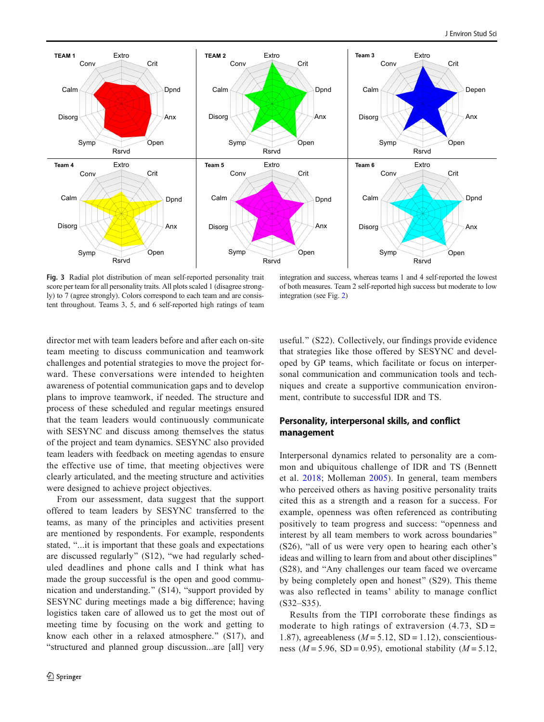<span id="page-9-0"></span>

Fig. 3 Radial plot distribution of mean self-reported personality trait score per team for all personality traits. All plots scaled 1 (disagree strongly) to 7 (agree strongly). Colors correspond to each team and are consistent throughout. Teams 3, 5, and 6 self-reported high ratings of team

integration and success, whereas teams 1 and 4 self-reported the lowest of both measures. Team 2 self-reported high success but moderate to low integration (see Fig. [2](#page-7-0))

director met with team leaders before and after each on-site team meeting to discuss communication and teamwork challenges and potential strategies to move the project forward. These conversations were intended to heighten awareness of potential communication gaps and to develop plans to improve teamwork, if needed. The structure and process of these scheduled and regular meetings ensured that the team leaders would continuously communicate with SESYNC and discuss among themselves the status of the project and team dynamics. SESYNC also provided team leaders with feedback on meeting agendas to ensure the effective use of time, that meeting objectives were clearly articulated, and the meeting structure and activities were designed to achieve project objectives.

From our assessment, data suggest that the support offered to team leaders by SESYNC transferred to the teams, as many of the principles and activities present are mentioned by respondents. For example, respondents stated, "...it is important that these goals and expectations are discussed regularly" (S12), "we had regularly scheduled deadlines and phone calls and I think what has made the group successful is the open and good communication and understanding."  $(S14)$ , "support provided by SESYNC during meetings made a big difference; having logistics taken care of allowed us to get the most out of meeting time by focusing on the work and getting to know each other in a relaxed atmosphere." (S17), and "structured and planned group discussion...are [all] very useful." (S22). Collectively, our findings provide evidence that strategies like those offered by SESYNC and developed by GP teams, which facilitate or focus on interpersonal communication and communication tools and techniques and create a supportive communication environment, contribute to successful IDR and TS.

#### Personality, interpersonal skills, and conflict management

Interpersonal dynamics related to personality are a common and ubiquitous challenge of IDR and TS (Bennett et al. [2018;](#page-13-0) Molleman [2005\)](#page-14-0). In general, team members who perceived others as having positive personality traits cited this as a strength and a reason for a success. For example, openness was often referenced as contributing positively to team progress and success: "openness and interest by all team members to work across boundaries"  $(S26)$ , "all of us were very open to hearing each other's ideas and willing to learn from and about other disciplines^ (S28), and "Any challenges our team faced we overcame by being completely open and honest" (S29). This theme was also reflected in teams' ability to manage conflict (S32–S35).

Results from the TIPI corroborate these findings as moderate to high ratings of extraversion  $(4.73, SD =$ 1.87), agreeableness ( $M = 5.12$ , SD = 1.12), conscientiousness ( $M = 5.96$ , SD = 0.95), emotional stability ( $M = 5.12$ ,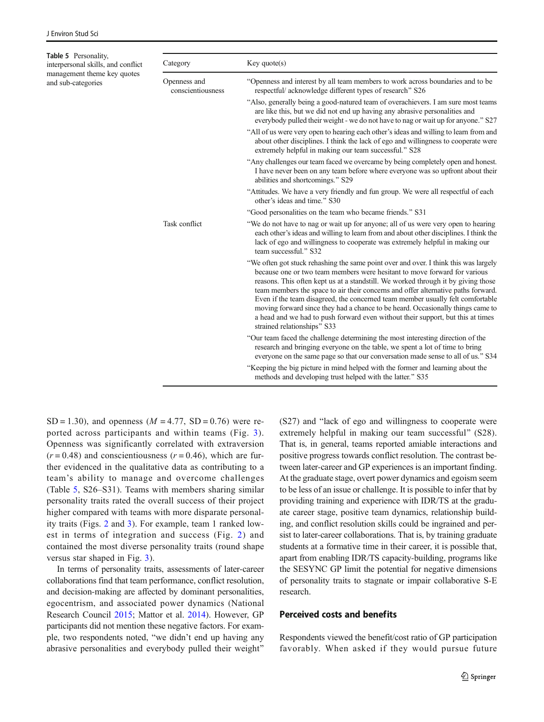Table 5 Personality, interpersonal skills, and conflict management theme key quotes and sub-categories Category Key quote(s) Openness and conscientiousness "Openness and interest by all team members to work across boundaries and to be respectful/ acknowledge different types of research^ S26 "Also, generally being a good-natured team of overachievers. I am sure most teams are like this, but we did not end up having any abrasive personalities and everybody pulled their weight - we do not have to nag or wait up for anyone.^ S27 BAll of us were very open to hearing each other's ideas and willing to learn from and about other disciplines. I think the lack of ego and willingness to cooperate were extremely helpful in making our team successful." S28 "Any challenges our team faced we overcame by being completely open and honest. I have never been on any team before where everyone was so upfront about their abilities and shortcomings.^ S29 "Attitudes. We have a very friendly and fun group. We were all respectful of each other's ideas and time.^ S30 "Good personalities on the team who became friends." S31 Task conflict "We do not have to nag or wait up for anyone; all of us were very open to hearing each other's ideas and willing to learn from and about other disciplines. I think the lack of ego and willingness to cooperate was extremely helpful in making our team successful.^ S32 "We often got stuck rehashing the same point over and over. I think this was largely because one or two team members were hesitant to move forward for various reasons. This often kept us at a standstill. We worked through it by giving those team members the space to air their concerns and offer alternative paths forward. Even if the team disagreed, the concerned team member usually felt comfortable moving forward since they had a chance to be heard. Occasionally things came to a head and we had to push forward even without their support, but this at times strained relationships" S33 BOur team faced the challenge determining the most interesting direction of the research and bringing everyone on the table, we spent a lot of time to bring everyone on the same page so that our conversation made sense to all of us." S34 "Keeping the big picture in mind helped with the former and learning about the methods and developing trust helped with the latter." S35

 $SD = 1.30$ , and openness ( $M = 4.77$ ,  $SD = 0.76$ ) were reported across participants and within teams (Fig. [3\)](#page-9-0). Openness was significantly correlated with extraversion  $(r = 0.48)$  and conscientiousness  $(r = 0.46)$ , which are further evidenced in the qualitative data as contributing to a team's ability to manage and overcome challenges (Table 5, S26–S31). Teams with members sharing similar personality traits rated the overall success of their project higher compared with teams with more disparate personality traits (Figs. [2](#page-7-0) and [3\)](#page-9-0). For example, team 1 ranked lowest in terms of integration and success (Fig. [2\)](#page-7-0) and contained the most diverse personality traits (round shape versus star shaped in Fig. [3\)](#page-9-0).

In terms of personality traits, assessments of later-career collaborations find that team performance, conflict resolution, and decision-making are affected by dominant personalities, egocentrism, and associated power dynamics (National Research Council [2015](#page-14-0); Mattor et al. [2014](#page-14-0)). However, GP participants did not mention these negative factors. For example, two respondents noted, "we didn't end up having any abrasive personalities and everybody pulled their weight" (S27) and "lack of ego and willingness to cooperate were extremely helpful in making our team successful" (S28). That is, in general, teams reported amiable interactions and positive progress towards conflict resolution. The contrast between later-career and GP experiences is an important finding. At the graduate stage, overt power dynamics and egoism seem to be less of an issue or challenge. It is possible to infer that by providing training and experience with IDR/TS at the graduate career stage, positive team dynamics, relationship building, and conflict resolution skills could be ingrained and persist to later-career collaborations. That is, by training graduate students at a formative time in their career, it is possible that, apart from enabling IDR/TS capacity-building, programs like the SESYNC GP limit the potential for negative dimensions of personality traits to stagnate or impair collaborative S-E research.

#### Perceived costs and benefits

Respondents viewed the benefit/cost ratio of GP participation favorably. When asked if they would pursue future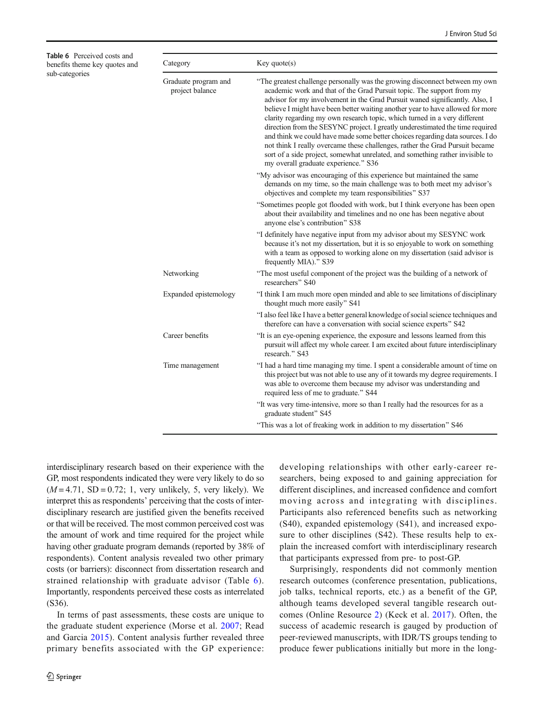Table 6 Perceived costs and benefits theme key quotes and sub-categories

| Category                                | Key quote(s)                                                                                                                                                                                                                                                                                                                                                                                                                                                                                                                                                                                                                                                                                                                                                                   |  |  |  |
|-----------------------------------------|--------------------------------------------------------------------------------------------------------------------------------------------------------------------------------------------------------------------------------------------------------------------------------------------------------------------------------------------------------------------------------------------------------------------------------------------------------------------------------------------------------------------------------------------------------------------------------------------------------------------------------------------------------------------------------------------------------------------------------------------------------------------------------|--|--|--|
| Graduate program and<br>project balance | "The greatest challenge personally was the growing disconnect between my own<br>academic work and that of the Grad Pursuit topic. The support from my<br>advisor for my involvement in the Grad Pursuit waned significantly. Also, I<br>believe I might have been better waiting another year to have allowed for more<br>clarity regarding my own research topic, which turned in a very different<br>direction from the SESYNC project. I greatly underestimated the time required<br>and think we could have made some better choices regarding data sources. I do<br>not think I really overcame these challenges, rather the Grad Pursuit became<br>sort of a side project, somewhat unrelated, and something rather invisible to<br>my overall graduate experience." S36 |  |  |  |
|                                         | "My advisor was encouraging of this experience but maintained the same<br>demands on my time, so the main challenge was to both meet my advisor's<br>objectives and complete my team responsibilities" S37                                                                                                                                                                                                                                                                                                                                                                                                                                                                                                                                                                     |  |  |  |
|                                         | "Sometimes people got flooded with work, but I think everyone has been open<br>about their availability and timelines and no one has been negative about<br>anyone else's contribution" S38                                                                                                                                                                                                                                                                                                                                                                                                                                                                                                                                                                                    |  |  |  |
|                                         | "I definitely have negative input from my advisor about my SESYNC work<br>because it's not my dissertation, but it is so enjoyable to work on something<br>with a team as opposed to working alone on my dissertation (said advisor is<br>frequently MIA)." S39                                                                                                                                                                                                                                                                                                                                                                                                                                                                                                                |  |  |  |
| Networking                              | "The most useful component of the project was the building of a network of<br>researchers" S40                                                                                                                                                                                                                                                                                                                                                                                                                                                                                                                                                                                                                                                                                 |  |  |  |
| Expanded epistemology                   | "I think I am much more open minded and able to see limitations of disciplinary<br>thought much more easily" S41                                                                                                                                                                                                                                                                                                                                                                                                                                                                                                                                                                                                                                                               |  |  |  |
|                                         | "I also feel like I have a better general knowledge of social science techniques and<br>therefore can have a conversation with social science experts" S42                                                                                                                                                                                                                                                                                                                                                                                                                                                                                                                                                                                                                     |  |  |  |
| Career benefits                         | "It is an eye-opening experience, the exposure and lessons learned from this<br>pursuit will affect my whole career. I am excited about future interdisciplinary<br>research." S43                                                                                                                                                                                                                                                                                                                                                                                                                                                                                                                                                                                             |  |  |  |
| Time management                         | "I had a hard time managing my time. I spent a considerable amount of time on<br>this project but was not able to use any of it towards my degree requirements. I<br>was able to overcome them because my advisor was understanding and<br>required less of me to graduate." S44                                                                                                                                                                                                                                                                                                                                                                                                                                                                                               |  |  |  |
|                                         | "It was very time-intensive, more so than I really had the resources for as a<br>graduate student" S45                                                                                                                                                                                                                                                                                                                                                                                                                                                                                                                                                                                                                                                                         |  |  |  |
|                                         | "This was a lot of freaking work in addition to my dissertation" S46                                                                                                                                                                                                                                                                                                                                                                                                                                                                                                                                                                                                                                                                                                           |  |  |  |

interdisciplinary research based on their experience with the GP, most respondents indicated they were very likely to do so  $(M = 4.71, SD = 0.72; 1, very unlikely, 5, very likely).$  We interpret this as respondents' perceiving that the costs of interdisciplinary research are justified given the benefits received or that will be received. The most common perceived cost was the amount of work and time required for the project while having other graduate program demands (reported by 38% of respondents). Content analysis revealed two other primary costs (or barriers): disconnect from dissertation research and strained relationship with graduate advisor (Table 6). Importantly, respondents perceived these costs as interrelated (S36).

In terms of past assessments, these costs are unique to the graduate student experience (Morse et al. [2007](#page-14-0); Read and Garcia [2015\)](#page-14-0). Content analysis further revealed three primary benefits associated with the GP experience: developing relationships with other early-career researchers, being exposed to and gaining appreciation for different disciplines, and increased confidence and comfort moving across and integrating with disciplines. Participants also referenced benefits such as networking (S40), expanded epistemology (S41), and increased exposure to other disciplines (S42). These results help to explain the increased comfort with interdisciplinary research that participants expressed from pre- to post-GP.

Surprisingly, respondents did not commonly mention research outcomes (conference presentation, publications, job talks, technical reports, etc.) as a benefit of the GP, although teams developed several tangible research outcomes (Online Resource 2) (Keck et al. [2017\)](#page-14-0). Often, the success of academic research is gauged by production of peer-reviewed manuscripts, with IDR/TS groups tending to produce fewer publications initially but more in the long-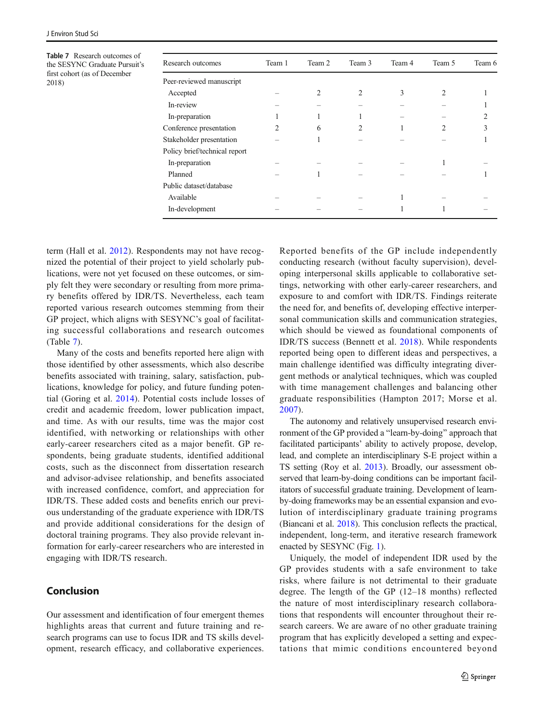Table 7 Research outcomes of the SESYNC Graduate Pursuit's first cohort (as of December 2018)

| Research outcomes             | Team 1 | Team 2         | Team 3         | Team 4 | Team 5 | Team 6 |
|-------------------------------|--------|----------------|----------------|--------|--------|--------|
| Peer-reviewed manuscript      |        |                |                |        |        |        |
| Accepted                      |        | $\mathfrak{D}$ | $\mathfrak{D}$ | 3      | 2      |        |
| In-review                     |        |                |                |        |        |        |
| In-preparation                |        |                |                |        |        |        |
| Conference presentation       | 2      | 6              | 2              |        | 2      | 3      |
| Stakeholder presentation      |        |                |                |        |        |        |
| Policy brief/technical report |        |                |                |        |        |        |
| In-preparation                |        |                |                |        |        |        |
| Planned                       |        |                |                |        |        |        |
| Public dataset/database       |        |                |                |        |        |        |
| Available                     |        |                |                |        |        |        |
| In-development                |        |                |                |        |        |        |

term (Hall et al. [2012](#page-14-0)). Respondents may not have recognized the potential of their project to yield scholarly publications, were not yet focused on these outcomes, or simply felt they were secondary or resulting from more primary benefits offered by IDR/TS. Nevertheless, each team reported various research outcomes stemming from their GP project, which aligns with SESYNC's goal of facilitating successful collaborations and research outcomes (Table 7).

Many of the costs and benefits reported here align with those identified by other assessments, which also describe benefits associated with training, salary, satisfaction, publications, knowledge for policy, and future funding potential (Goring et al. [2014](#page-14-0)). Potential costs include losses of credit and academic freedom, lower publication impact, and time. As with our results, time was the major cost identified, with networking or relationships with other early-career researchers cited as a major benefit. GP respondents, being graduate students, identified additional costs, such as the disconnect from dissertation research and advisor-advisee relationship, and benefits associated with increased confidence, comfort, and appreciation for IDR/TS. These added costs and benefits enrich our previous understanding of the graduate experience with IDR/TS and provide additional considerations for the design of doctoral training programs. They also provide relevant information for early-career researchers who are interested in engaging with IDR/TS research.

## Conclusion

Our assessment and identification of four emergent themes highlights areas that current and future training and research programs can use to focus IDR and TS skills development, research efficacy, and collaborative experiences. Reported benefits of the GP include independently conducting research (without faculty supervision), developing interpersonal skills applicable to collaborative settings, networking with other early-career researchers, and exposure to and comfort with IDR/TS. Findings reiterate the need for, and benefits of, developing effective interpersonal communication skills and communication strategies, which should be viewed as foundational components of IDR/TS success (Bennett et al. [2018](#page-13-0)). While respondents reported being open to different ideas and perspectives, a main challenge identified was difficulty integrating divergent methods or analytical techniques, which was coupled with time management challenges and balancing other graduate responsibilities (Hampton 2017; Morse et al. [2007](#page-14-0)).

The autonomy and relatively unsupervised research environment of the GP provided a "learn-by-doing" approach that facilitated participants' ability to actively propose, develop, lead, and complete an interdisciplinary S-E project within a TS setting (Roy et al. [2013](#page-14-0)). Broadly, our assessment observed that learn-by-doing conditions can be important facilitators of successful graduate training. Development of learnby-doing frameworks may be an essential expansion and evolution of interdisciplinary graduate training programs (Biancani et al. [2018\)](#page-13-0). This conclusion reflects the practical, independent, long-term, and iterative research framework enacted by SESYNC (Fig. [1\)](#page-4-0).

Uniquely, the model of independent IDR used by the GP provides students with a safe environment to take risks, where failure is not detrimental to their graduate degree. The length of the GP (12–18 months) reflected the nature of most interdisciplinary research collaborations that respondents will encounter throughout their research careers. We are aware of no other graduate training program that has explicitly developed a setting and expectations that mimic conditions encountered beyond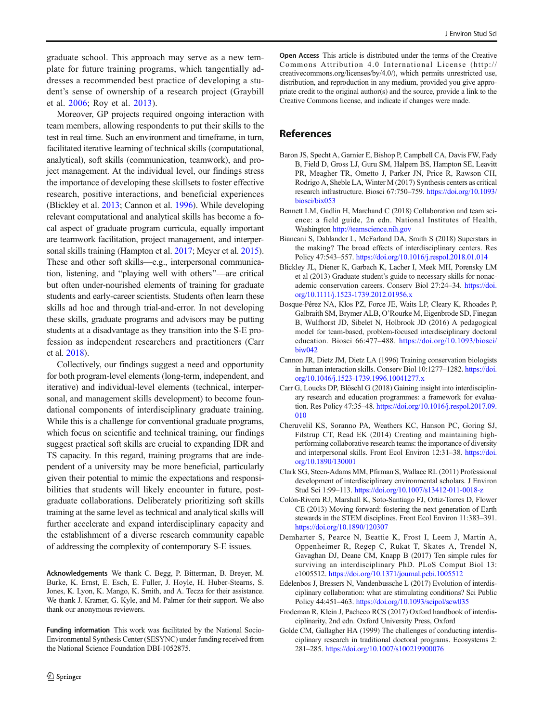<span id="page-13-0"></span>graduate school. This approach may serve as a new template for future training programs, which tangentially addresses a recommended best practice of developing a student's sense of ownership of a research project (Graybill et al. [2006](#page-14-0); Roy et al. [2013\)](#page-14-0).

Moreover, GP projects required ongoing interaction with team members, allowing respondents to put their skills to the test in real time. Such an environment and timeframe, in turn, facilitated iterative learning of technical skills (computational, analytical), soft skills (communication, teamwork), and project management. At the individual level, our findings stress the importance of developing these skillsets to foster effective research, positive interactions, and beneficial experiences (Blickley et al. 2013; Cannon et al. 1996). While developing relevant computational and analytical skills has become a focal aspect of graduate program curricula, equally important are teamwork facilitation, project management, and interpersonal skills training (Hampton et al. [2017;](#page-14-0) Meyer et al. [2015\)](#page-14-0). These and other soft skills—e.g., interpersonal communication, listening, and "playing well with others"—are critical but often under-nourished elements of training for graduate students and early-career scientists. Students often learn these skills ad hoc and through trial-and-error. In not developing these skills, graduate programs and advisors may be putting students at a disadvantage as they transition into the S-E profession as independent researchers and practitioners (Carr et al. 2018).

Collectively, our findings suggest a need and opportunity for both program-level elements (long-term, independent, and iterative) and individual-level elements (technical, interpersonal, and management skills development) to become foundational components of interdisciplinary graduate training. While this is a challenge for conventional graduate programs, which focus on scientific and technical training, our findings suggest practical soft skills are crucial to expanding IDR and TS capacity. In this regard, training programs that are independent of a university may be more beneficial, particularly given their potential to mimic the expectations and responsibilities that students will likely encounter in future, postgraduate collaborations. Deliberately prioritizing soft skills training at the same level as technical and analytical skills will further accelerate and expand interdisciplinary capacity and the establishment of a diverse research community capable of addressing the complexity of contemporary S-E issues.

Acknowledgements We thank C. Begg, P. Bitterman, B. Breyer, M. Burke, K. Ernst, E. Esch, E. Fuller, J. Hoyle, H. Huber-Stearns, S. Jones, K. Lyon, K. Mango, K. Smith, and A. Tecza for their assistance. We thank J. Kramer, G. Kyle, and M. Palmer for their support. We also thank our anonymous reviewers.

Funding information This work was facilitated by the National Socio-Environmental Synthesis Center (SESYNC) under funding received from the National Science Foundation DBI-1052875.

Open Access This article is distributed under the terms of the Creative Commons Attribution 4.0 International License (http:// creativecommons.org/licenses/by/4.0/), which permits unrestricted use, distribution, and reproduction in any medium, provided you give appropriate credit to the original author(s) and the source, provide a link to the Creative Commons license, and indicate if changes were made.

#### References

- Baron JS, Specht A, Garnier E, Bishop P, Campbell CA, Davis FW, Fady B, Field D, Gross LJ, Guru SM, Halpern BS, Hampton SE, Leavitt PR, Meagher TR, Ometto J, Parker JN, Price R, Rawson CH, Rodrigo A, Sheble LA, Winter M (2017) Synthesis centers as critical research infrastructure. Biosci 67:750–759. [https://doi.org/10.1093/](https://doi.org/10.1093/biosci/bix053) [biosci/bix053](https://doi.org/10.1093/biosci/bix053)
- Bennett LM, Gadlin H, Marchand C (2018) Collaboration and team science: a field guide, 2n edn. National Institutes of Health, Washington <http://teamscience.nih.gov>
- Biancani S, Dahlander L, McFarland DA, Smith S (2018) Superstars in the making? The broad effects of interdisciplinary centers. Res Policy 47:543–557. <https://doi.org/10.1016/j.respol.2018.01.014>
- Blickley JL, Diener K, Garbach K, Lacher I, Meek MH, Porensky LM et al (2013) Graduate student's guide to necessary skills for nonacademic conservation careers. Conserv Biol 27:24–34. [https://doi.](https://doi.org/10.1111/j.1523-1739.2012.01956.x) [org/10.1111/j.1523-1739.2012.01956.x](https://doi.org/10.1111/j.1523-1739.2012.01956.x)
- Bosque-Pérez NA, Klos PZ, Force JE, Waits LP, Cleary K, Rhoades P, Galbraith SM, Brymer ALB, O'Rourke M, Eigenbrode SD, Finegan B, Wulfhorst JD, Sibelet N, Holbrook JD (2016) A pedagogical model for team-based, problem-focused interdisciplinary doctoral education. Biosci 66:477–488. [https://doi.org/10.1093/biosci/](https://doi.org/10.1093/biosci/biw042) [biw042](https://doi.org/10.1093/biosci/biw042)
- Cannon JR, Dietz JM, Dietz LA (1996) Training conservation biologists in human interaction skills. Conserv Biol 10:1277–1282. [https://doi.](https://doi.org/10.1046/j.1523-1739.1996.10041277.x) [org/10.1046/j.1523-1739.1996.10041277.x](https://doi.org/10.1046/j.1523-1739.1996.10041277.x)
- Carr G, Loucks DP, Blöschl G (2018) Gaining insight into interdisciplinary research and education programmes: a framework for evaluation. Res Policy 47:35–48. [https://doi.org/10.1016/j.respol.2017.09.](https://doi.org/10.1016/j.respol.2017.09.010) [010](https://doi.org/10.1016/j.respol.2017.09.010)
- Cheruvelil KS, Soranno PA, Weathers KC, Hanson PC, Goring SJ, Filstrup CT, Read EK (2014) Creating and maintaining highperforming collaborative research teams: the importance of diversity and interpersonal skills. Front Ecol Environ 12:31–38. [https://doi.](https://doi.org/10.1890/130001) [org/10.1890/130001](https://doi.org/10.1890/130001)
- Clark SG, Steen-Adams MM, Pfirman S, Wallace RL (2011) Professional development of interdisciplinary environmental scholars. J Environ Stud Sci 1:99–113. <https://doi.org/10.1007/s13412-011-0018-z>
- Colón-Rivera RJ, Marshall K, Soto-Santiago FJ, Ortiz-Torres D, Flower CE (2013) Moving forward: fostering the next generation of Earth stewards in the STEM disciplines. Front Ecol Environ 11:383–391. <https://doi.org/10.1890/120307>
- Demharter S, Pearce N, Beattie K, Frost I, Leem J, Martin A, Oppenheimer R, Regep C, Rukat T, Skates A, Trendel N, Gavaghan DJ, Deane CM, Knapp B (2017) Ten simple rules for surviving an interdisciplinary PhD. PLoS Comput Biol 13: e1005512. <https://doi.org/10.1371/journal.pcbi.1005512>
- Edelenbos J, Bressers N, Vandenbussche L (2017) Evolution of interdisciplinary collaboration: what are stimulating conditions? Sci Public Policy 44:451–463. <https://doi.org/10.1093/scipol/scw035>
- Frodeman R, Klein J, Pacheco RCS (2017) Oxford handbook of interdisciplinarity, 2nd edn. Oxford University Press, Oxford
- Golde CM, Gallagher HA (1999) The challenges of conducting interdisciplinary research in traditional doctoral programs. Ecosystems 2: 281–285. <https://doi.org/10.1007/s100219900076>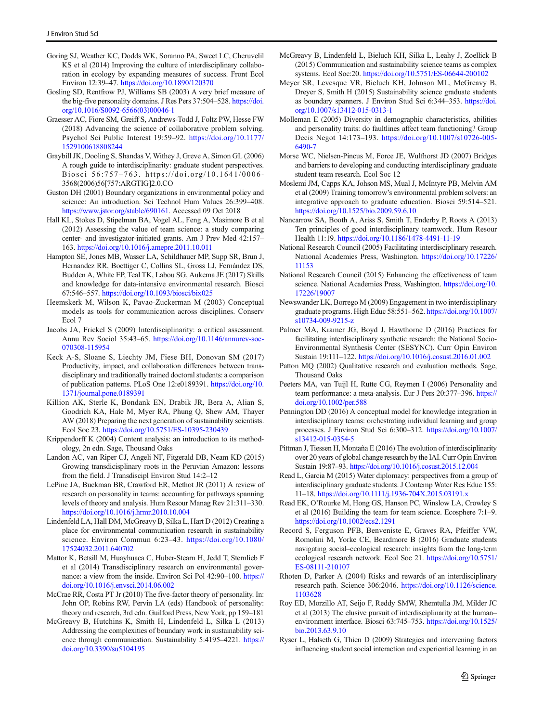- <span id="page-14-0"></span>Goring SJ, Weather KC, Dodds WK, Soranno PA, Sweet LC, Cheruvelil KS et al (2014) Improving the culture of interdisciplinary collaboration in ecology by expanding measures of success. Front Ecol Environ 12:39–47. <https://doi.org/10.1890/120370>
- Gosling SD, Rentfrow PJ, Williams SB (2003) A very brief measure of the big-five personality domains. J Res Pers 37:504–528. [https://doi.](https://doi.org/10.1016/S0092-6566(03)00046-1) [org/10.1016/S0092-6566\(03\)00046-1](https://doi.org/10.1016/S0092-6566(03)00046-1)
- Graesser AC, Fiore SM, Greiff S, Andrews-Todd J, Foltz PW, Hesse FW (2018) Advancing the science of collaborative problem solving. Psychol Sci Public Interest 19:59–92. [https://doi.org/10.1177/](https://doi.org/10.1177/1529100618808244) [1529100618808244](https://doi.org/10.1177/1529100618808244)
- Graybill JK, Dooling S, Shandas V, Withey J, Greve A, Simon GL (2006) A rough guide to interdisciplinarity: graduate student perspectives. Biosci 56:757 – 763. https://doi.org/10.1641/0006- 3568(2006)56[757:ARGTIG]2.0.CO
- Guston DH (2001) Boundary organizations in environmental policy and science: An introduction. Sci Technol Hum Values 26:399–408. [https://www.jstor.org/stable/690161.](https://www.jstor.org/stable/690161) Accessed 09 Oct 2018
- Hall KL, Stokes D, Stipelman BA, Vogel AL, Feng A, Masimore B et al (2012) Assessing the value of team science: a study comparing center- and investigator-initiated grants. Am J Prev Med 42:157– 163. <https://doi.org/10.1016/j.amepre.2011.10.011>
- Hampton SE, Jones MB, Wasser LA, Schildhauer MP, Supp SR, Brun J, Hernandez RR, Boettiger C, Collins SL, Gross LJ, Fernández DS, Budden A, White EP, Teal TK, Labou SG, Aukema JE (2017) Skills and knowledge for data-intensive environmental research. Biosci 67:546–557. <https://doi.org/10.1093/biosci/bix025>
- Heemskerk M, Wilson K, Pavao-Zuckerman M (2003) Conceptual models as tools for communication across disciplines. Conserv Ecol 7
- Jacobs JA, Frickel S (2009) Interdisciplinarity: a critical assessment. Annu Rev Sociol 35:43–65. [https://doi.org/10.1146/annurev-soc-](https://doi.org/10.1146/annurev-soc-070308-115954)[070308-115954](https://doi.org/10.1146/annurev-soc-070308-115954)
- Keck A-S, Sloane S, Liechty JM, Fiese BH, Donovan SM (2017) Productivity, impact, and collaboration differences between transdisciplinary and traditionally trained doctoral students: a comparison of publication patterns. PLoS One 12:e0189391. [https://doi.org/10.](https://doi.org/10.1371/journal.pone.0189391) [1371/journal.pone.0189391](https://doi.org/10.1371/journal.pone.0189391)
- Killion AK, Sterle K, Bondank EN, Drabik JR, Bera A, Alian S, Goodrich KA, Hale M, Myer RA, Phung Q, Shew AM, Thayer AW (2018) Preparing the next generation of sustainability scientists. Ecol Soc 23. <https://doi.org/10.5751/ES-10395-230439>
- Krippendorff K (2004) Content analysis: an introduction to its methodology, 2n edn. Sage, Thousand Oaks
- Landon AC, van Riper CJ, Angeli NF, Fitgerald DB, Neam KD (2015) Growing transdicisplinary roots in the Peruvian Amazon: lessons from the field. J Transdiscipl Environ Stud 14:2–12
- LePine JA, Buckman BR, Crawford ER, Methot JR (2011) A review of research on personality in teams: accounting for pathways spanning levels of theory and analysis. Hum Resour Manag Rev 21:311–330. <https://doi.org/10.1016/j.hrmr.2010.10.004>
- Lindenfeld LA, Hall DM, McGreavy B, Silka L, Hart D (2012) Creating a place for environmental communication research in sustainability science. Environ Commun 6:23–43. [https://doi.org/10.1080/](https://doi.org/10.1080/17524032.2011.640702) [17524032.2011.640702](https://doi.org/10.1080/17524032.2011.640702)
- Mattor K, Betsill M, Huayhuaca C, Huber-Stearn H, Jedd T, Sternlieb F et al (2014) Transdisciplinary research on environmental governance: a view from the inside. Environ Sci Pol 42:90–100. [https://](https://doi.org/10.1016/j.envsci.2014.06.002) [doi.org/10.1016/j.envsci.2014.06.002](https://doi.org/10.1016/j.envsci.2014.06.002)
- McCrae RR, Costa PT Jr (2010) The five-factor theory of personality. In: John OP, Robins RW, Pervin LA (eds) Handbook of personality: theory and research, 3rd edn. Guilford Press, New York, pp 159–181
- McGreavy B, Hutchins K, Smith H, Lindenfeld L, Silka L (2013) Addressing the complexities of boundary work in sustainability science through communication. Sustainability 5:4195–4221. [https://](https://doi.org/10.3390/su5104195) [doi.org/10.3390/su5104195](https://doi.org/10.3390/su5104195)
- McGreavy B, Lindenfeld L, Bieluch KH, Silka L, Leahy J, Zoellick B (2015) Communication and sustainability science teams as complex systems. Ecol Soc:20. <https://doi.org/10.5751/ES-06644-200102>
- Meyer SR, Levesque VR, Bieluch KH, Johnson ML, McGreavy B, Dreyer S, Smith H (2015) Sustainability science graduate students as boundary spanners. J Environ Stud Sci 6:344–353. [https://doi.](https://doi.org/10.1007/s13412-015-0313-1) [org/10.1007/s13412-015-0313-1](https://doi.org/10.1007/s13412-015-0313-1)
- Molleman E (2005) Diversity in demographic characteristics, abilities and personality traits: do faultlines affect team functioning? Group Decis Negot 14:173–193. [https://doi.org/10.1007/s10726-005-](https://doi.org/10.1007/s10726-005-6490-7) [6490-7](https://doi.org/10.1007/s10726-005-6490-7)
- Morse WC, Nielsen-Pincus M, Force JE, Wulfhorst JD (2007) Bridges and barriers to developing and conducting interdisciplinary graduate student team research. Ecol Soc 12
- Moslemi JM, Capps KA, Johson MS, Mual J, McIntyre PB, Melvin AM et al (2009) Training tomorrow's environmental problem solvers: an integrative approach to graduate education. Biosci 59:514–521. <https://doi.org/10.1525/bio.2009.59.6.10>
- Nancarrow SA, Booth A, Ariss S, Smith T, Enderby P, Roots A (2013) Ten principles of good interdisciplinary teamwork. Hum Resour Health 11:19. <https://doi.org/10.1186/1478-4491-11-19>
- National Research Council (2005) Facilitating interdisciplinary research. National Academies Press, Washington. [https://doi.org/10.17226/](https://doi.org/10.17226/11153) [11153](https://doi.org/10.17226/11153)
- National Research Council (2015) Enhancing the effectiveness of team science. National Academies Press, Washington. [https://doi.org/10.](https://doi.org/10.17226/19007) [17226/19007](https://doi.org/10.17226/19007)
- Newswander LK, Borrego M (2009) Engagement in two interdisciplinary graduate programs. High Educ 58:551–562. [https://doi.org/10.1007/](https://doi.org/10.1007/s10734-009-9215-z) [s10734-009-9215-z](https://doi.org/10.1007/s10734-009-9215-z)
- Palmer MA, Kramer JG, Boyd J, Hawthorne D (2016) Practices for facilitating interdisciplinary synthetic research: the National Socio-Environmental Synthesis Center (SESYNC). Curr Opin Environ Sustain 19:111–122. <https://doi.org/10.1016/j.cosust.2016.01.002>
- Patton MQ (2002) Qualitative research and evaluation methods. Sage, Thousand Oaks
- Peeters MA, van Tuijl H, Rutte CG, Reymen I (2006) Personality and team performance: a meta-analysis. Eur J Pers 20:377–396. [https://](https://doi.org/10.1002/per.588) [doi.org/10.1002/per.588](https://doi.org/10.1002/per.588)
- Pennington DD (2016) A conceptual model for knowledge integration in interdisciplinary teams: orchestrating individual learning and group processes. J Environ Stud Sci 6:300–312. [https://doi.org/10.1007/](https://doi.org/10.1007/s13412-015-0354-5) [s13412-015-0354-5](https://doi.org/10.1007/s13412-015-0354-5)
- Pittman J, Tiessen H, Montaña E (2016) The evolution of interdisciplinarity over 20 years of global change research by the IAI. Curr Opin Environ Sustain 19:87–93. <https://doi.org/10.1016/j.cosust.2015.12.004>
- Read L, Garcia M (2015) Water diplomacy: perspectives from a group of interdisciplinary graduate students. J Contemp Water Res Educ 155: 11–18. <https://doi.org/10.1111/j.1936-704X.2015.03191.x>
- Read EK, O'Rourke M, Hong GS, Hanson PC, Winslow LA, Crowley S et al (2016) Building the team for team science. Ecosphere 7:1–9. <https://doi.org/10.1002/ecs2.1291>
- Record S, Ferguson PFB, Benveniste E, Graves RA, Pfeiffer VW, Romolini M, Yorke CE, Beardmore B (2016) Graduate students navigating social–ecological research: insights from the long-term ecological research network. Ecol Soc 21. [https://doi.org/10.5751/](https://doi.org/10.5751/ES-08111-210107) [ES-08111-210107](https://doi.org/10.5751/ES-08111-210107)
- Rhoten D, Parker A (2004) Risks and rewards of an interdisciplinary research path. Science 306:2046. [https://doi.org/10.1126/science.](https://doi.org/10.1126/science.1103628) [1103628](https://doi.org/10.1126/science.1103628)
- Roy ED, Morzillo AT, Seijo F, Reddy SMW, Rhemtulla JM, Milder JC et al (2013) The elusive pursuit of interdisciplinarity at the human– environment interface. Biosci 63:745–753. [https://doi.org/10.1525/](https://doi.org/10.1525/bio.2013.63.9.10) [bio.2013.63.9.10](https://doi.org/10.1525/bio.2013.63.9.10)
- Ryser L, Halseth G, Thien D (2009) Strategies and intervening factors influencing student social interaction and experiential learning in an